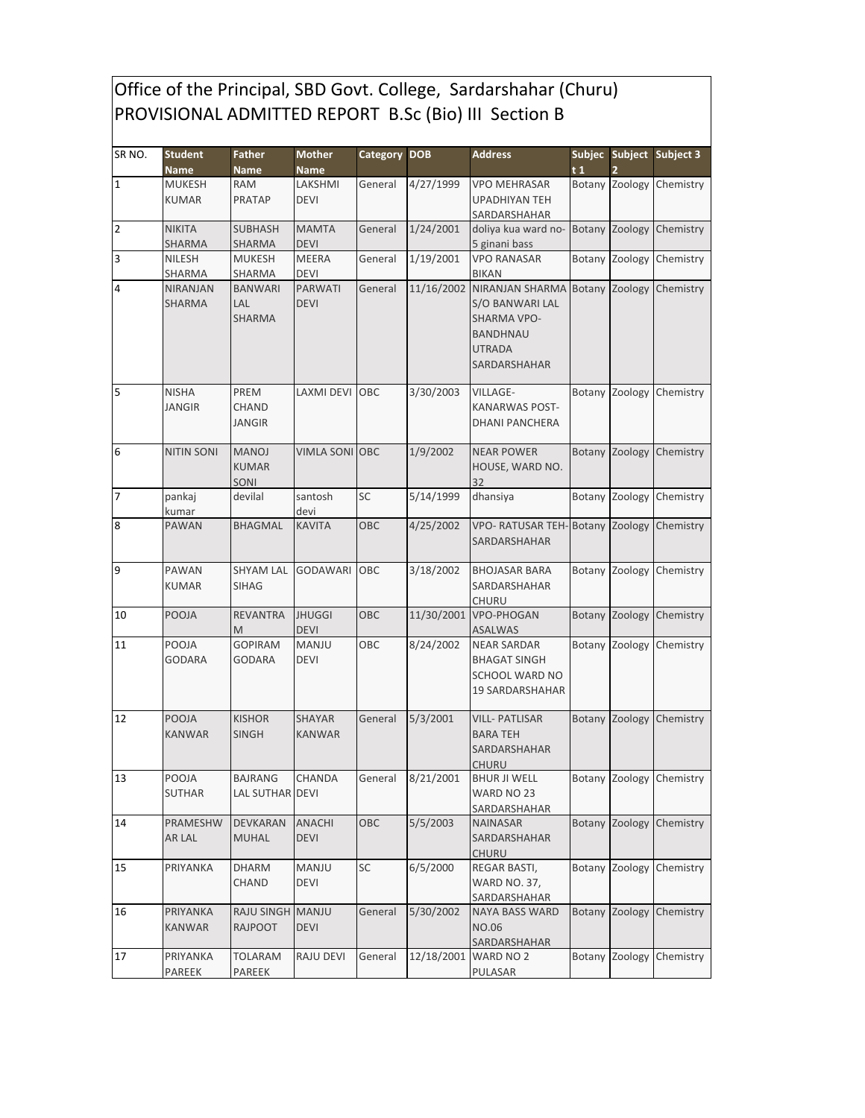## Office of the Principal, SBD Govt. College, Sardarshahar (Churu) PROVISIONAL ADMITTED REPORT B.Sc (Bio) III Section B

| SR NO.         | <b>Student</b><br><b>Name</b> | <b>Father</b><br><b>Name</b>         | <b>Mother</b><br><b>Name</b>   | <b>Category DOB</b> |                   | <b>Address</b>                                                                                               | t1 |                | Subjec Subject Subject 3 |
|----------------|-------------------------------|--------------------------------------|--------------------------------|---------------------|-------------------|--------------------------------------------------------------------------------------------------------------|----|----------------|--------------------------|
| $\overline{1}$ | <b>MUKESH</b><br><b>KUMAR</b> | <b>RAM</b><br><b>PRATAP</b>          | LAKSHMI<br><b>DEVI</b>         | General             | 4/27/1999         | <b>VPO MEHRASAR</b><br><b>UPADHIYAN TEH</b><br>SARDARSHAHAR                                                  |    |                | Botany Zoology Chemistry |
| $\overline{2}$ | <b>NIKITA</b><br>SHARMA       | <b>SUBHASH</b><br><b>SHARMA</b>      | <b>MAMTA</b><br><b>DEVI</b>    | General             | 1/24/2001         | doliya kua ward no-<br>5 ginani bass                                                                         |    | Botany Zoology | Chemistry                |
| 3              | NILESH<br>SHARMA              | <b>MUKESH</b><br>SHARMA              | <b>MEERA</b><br><b>DEVI</b>    | General             | 1/19/2001         | <b>VPO RANASAR</b><br><b>BIKAN</b>                                                                           |    | Botany Zoology | Chemistry                |
| 4              | <b>NIRANJAN</b><br>SHARMA     | BANWARI<br>LAL<br><b>SHARMA</b>      | <b>PARWATI</b><br><b>DEVI</b>  | General             | 11/16/2002        | NIRANJAN SHARMA<br>S/O BANWARI LAL<br><b>SHARMA VPO-</b><br><b>BANDHNAU</b><br><b>UTRADA</b><br>SARDARSHAHAR |    | Botany Zoology | Chemistry                |
| 5              | <b>NISHA</b><br><b>JANGIR</b> | PREM<br>CHAND<br>JANGIR              | LAXMI DEVI                     | OBC                 | 3/30/2003         | VILLAGE-<br>KANARWAS POST-<br>DHANI PANCHERA                                                                 |    | Botany Zoology | Chemistry                |
| 6              | <b>NITIN SONI</b>             | <b>MANOJ</b><br><b>KUMAR</b><br>SONI | <b>VIMLA SONI OBC</b>          |                     | 1/9/2002          | <b>NEAR POWER</b><br>HOUSE, WARD NO.<br>32                                                                   |    | Botany Zoology | Chemistry                |
| 17             | pankaj<br>kumar               | devilal                              | santosh<br>devi                | SC                  | 5/14/1999         | dhansiya                                                                                                     |    | Botany Zoology | Chemistry                |
| 8              | <b>PAWAN</b>                  | BHAGMAL                              | <b>KAVITA</b>                  | OBC                 | 4/25/2002         | VPO- RATUSAR TEH-Botany Zoology<br>SARDARSHAHAR                                                              |    |                | Chemistry                |
| 9              | <b>PAWAN</b><br><b>KUMAR</b>  | <b>SHYAM LAL</b><br><b>SIHAG</b>     | <b>GODAWARI</b>                | OBC                 | 3/18/2002         | <b>BHOJASAR BARA</b><br>SARDARSHAHAR<br>CHURU                                                                |    | Botany Zoology | Chemistry                |
| 10             | <b>POOJA</b>                  | <b>REVANTRA</b><br>M                 | <b>JHUGGI</b><br><b>DEVI</b>   | OBC                 | 11/30/2001        | <b>VPO-PHOGAN</b><br>ASALWAS                                                                                 |    | Botany Zoology | Chemistry                |
| 11             | POOJA<br><b>GODARA</b>        | GOPIRAM<br>GODARA                    | <b>MANJU</b><br><b>DEVI</b>    | ОВС                 | 8/24/2002         | <b>NEAR SARDAR</b><br><b>BHAGAT SINGH</b><br>SCHOOL WARD NO<br><b>19 SARDARSHAHAR</b>                        |    | Botany Zoology | Chemistry                |
| 12             | <b>POOJA</b><br><b>KANWAR</b> | <b>KISHOR</b><br><b>SINGH</b>        | <b>SHAYAR</b><br><b>KANWAR</b> | General             | 5/3/2001          | <b>VILL-PATLISAR</b><br><b>BARA TEH</b><br>SARDARSHAHAR<br><b>CHURU</b>                                      |    | Botany Zoology | Chemistry                |
| 13             | POOJA<br>SUTHAR               | <b>BAJRANG</b><br>LAL SUTHAR DEVI    | CHANDA                         |                     | General 8/21/2001 | <b>BHUR JI WELL</b><br>WARD NO 23<br>SARDARSHAHAR                                                            |    |                | Botany Zoology Chemistry |
| 14             | PRAMESHW<br>AR LAL            | DEVKARAN<br><b>MUHAL</b>             | ANACHI<br><b>DEVI</b>          | OBC                 | 5/5/2003          | <b>NAINASAR</b><br>SARDARSHAHAR<br><b>CHURU</b>                                                              |    | Botany Zoology | Chemistry                |
| 15             | PRIYANKA                      | <b>DHARM</b><br>CHAND                | MANJU<br>DEVI                  | SC                  | 6/5/2000          | REGAR BASTI,<br><b>WARD NO. 37,</b><br>SARDARSHAHAR                                                          |    | Botany Zoology | Chemistry                |
| 16             | PRIYANKA<br>KANWAR            | RAJU SINGH MANJU<br><b>RAJPOOT</b>   | <b>DEVI</b>                    | General             | 5/30/2002         | <b>NAYA BASS WARD</b><br>NO.06<br>SARDARSHAHAR                                                               |    | Botany Zoology | Chemistry                |
| 17             | PRIYANKA<br>PAREEK            | TOLARAM<br>PAREEK                    | RAJU DEVI                      | General             | 12/18/2001        | WARD NO 2<br>PULASAR                                                                                         |    | Botany Zoology | Chemistry                |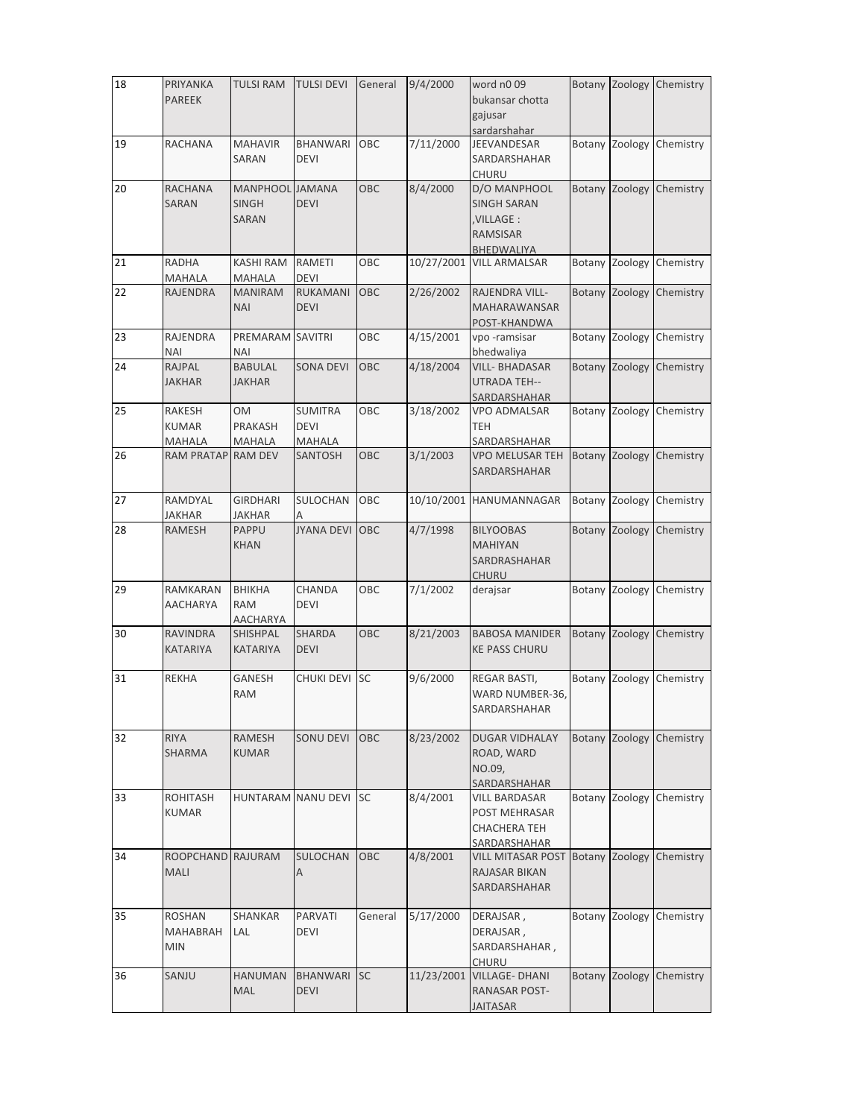| 18 | PRIYANKA           | <b>TULSI RAM</b>   | <b>TULSI DEVI</b> | General   | 9/4/2000   | word n009                   |               | Botany Zoology | Chemistry |
|----|--------------------|--------------------|-------------------|-----------|------------|-----------------------------|---------------|----------------|-----------|
|    | <b>PAREEK</b>      |                    |                   |           |            | bukansar chotta             |               |                |           |
|    |                    |                    |                   |           |            | gajusar                     |               |                |           |
|    |                    |                    |                   |           |            |                             |               |                |           |
| 19 | <b>RACHANA</b>     | <b>MAHAVIR</b>     | <b>BHANWARI</b>   | OBC       | 7/11/2000  | sardarshahar<br>JEEVANDESAR |               |                |           |
|    |                    |                    |                   |           |            |                             |               | Botany Zoology | Chemistry |
|    |                    | SARAN              | <b>DEVI</b>       |           |            | SARDARSHAHAR                |               |                |           |
|    |                    |                    |                   |           |            | CHURU                       |               |                |           |
| 20 | <b>RACHANA</b>     | <b>MANPHOOL</b>    | <b>JAMANA</b>     | OBC       | 8/4/2000   | D/O MANPHOOL                | Botany        | Zoology        | Chemistry |
|    | <b>SARAN</b>       | <b>SINGH</b>       | <b>DEVI</b>       |           |            | <b>SINGH SARAN</b>          |               |                |           |
|    |                    | <b>SARAN</b>       |                   |           |            | ,VILLAGE :                  |               |                |           |
|    |                    |                    |                   |           |            | <b>RAMSISAR</b>             |               |                |           |
|    |                    |                    |                   |           |            | <b>BHEDWALIYA</b>           |               |                |           |
| 21 | <b>RADHA</b>       | <b>KASHI RAM</b>   | RAMETI            | OBC       | 10/27/2001 | <b>VILL ARMALSAR</b>        |               | Botany Zoology | Chemistry |
|    |                    |                    | DEVI              |           |            |                             |               |                |           |
|    | MAHALA             | MAHALA             |                   |           |            |                             |               |                |           |
| 22 | <b>RAJENDRA</b>    | <b>MANIRAM</b>     | <b>RUKAMANI</b>   | OBC       | 2/26/2002  | RAJENDRA VILL-              |               | Botany Zoology | Chemistry |
|    |                    | <b>NAI</b>         | <b>DEVI</b>       |           |            | <b>MAHARAWANSAR</b>         |               |                |           |
|    |                    |                    |                   |           |            | POST-KHANDWA                |               |                |           |
| 23 | RAJENDRA           | PREMARAM SAVITRI   |                   | OBC       | 4/15/2001  | vpo -ramsisar               |               | Botany Zoology | Chemistry |
|    | <b>NAI</b>         | <b>NAI</b>         |                   |           |            | bhedwaliya                  |               |                |           |
| 24 | <b>RAJPAL</b>      | <b>BABULAL</b>     | <b>SONA DEVI</b>  | OBC       | 4/18/2004  | <b>VILL- BHADASAR</b>       | <b>Botany</b> | Zoology        | Chemistry |
|    | <b>JAKHAR</b>      | <b>JAKHAR</b>      |                   |           |            | <b>UTRADA TEH--</b>         |               |                |           |
|    |                    |                    |                   |           |            | SARDARSHAHAR                |               |                |           |
|    |                    |                    | <b>SUMITRA</b>    |           | 3/18/2002  |                             |               |                |           |
| 25 | <b>RAKESH</b>      | <b>OM</b>          |                   | OBC       |            | <b>VPO ADMALSAR</b>         |               | Botany Zoology | Chemistry |
|    | <b>KUMAR</b>       | PRAKASH            | <b>DEVI</b>       |           |            | <b>TEH</b>                  |               |                |           |
|    | <b>MAHALA</b>      | MAHALA             | MAHALA            |           |            | SARDARSHAHAR                |               |                |           |
| 26 | RAM PRATAP RAM DEV |                    | SANTOSH           | OBC       | 3/1/2003   | <b>VPO MELUSAR TEH</b>      |               | Botany Zoology | Chemistry |
|    |                    |                    |                   |           |            | SARDARSHAHAR                |               |                |           |
|    |                    |                    |                   |           |            |                             |               |                |           |
| 27 | RAMDYAL            | <b>GIRDHARI</b>    | SULOCHAN          | OBC       | 10/10/2001 | HANUMANNAGAR                |               | Botany Zoology | Chemistry |
|    | <b>JAKHAR</b>      | JAKHAR             |                   |           |            |                             |               |                |           |
| 28 | <b>RAMESH</b>      | PAPPU              | <b>JYANA DEVI</b> | OBC       | 4/7/1998   | <b>BILYOOBAS</b>            | <b>Botany</b> | Zoology        | Chemistry |
|    |                    |                    |                   |           |            |                             |               |                |           |
|    |                    | <b>KHAN</b>        |                   |           |            | <b>MAHIYAN</b>              |               |                |           |
|    |                    |                    |                   |           |            | SARDRASHAHAR                |               |                |           |
|    |                    |                    |                   |           |            | <b>CHURU</b>                |               |                |           |
| 29 | RAMKARAN           | <b>BHIKHA</b>      | CHANDA            | OBC       | 7/1/2002   | derajsar                    |               | Botany Zoology | Chemistry |
|    | <b>AACHARYA</b>    | <b>RAM</b>         | <b>DEVI</b>       |           |            |                             |               |                |           |
|    |                    | AACHARYA           |                   |           |            |                             |               |                |           |
| 30 | <b>RAVINDRA</b>    | <b>SHISHPAL</b>    | SHARDA            | OBC       | 8/21/2003  | <b>BABOSA MANIDER</b>       |               | Botany Zoology | Chemistry |
|    | <b>KATARIYA</b>    | <b>KATARIYA</b>    | <b>DEVI</b>       |           |            | <b>KE PASS CHURU</b>        |               |                |           |
|    |                    |                    |                   |           |            |                             |               |                |           |
|    |                    |                    |                   |           | 9/6/2000   |                             |               | Zoology        |           |
| 31 | <b>REKHA</b>       | <b>GANESH</b>      | CHUKI DEVI        | <b>SC</b> |            | REGAR BASTI,                | Botany        |                | Chemistry |
|    |                    | <b>RAM</b>         |                   |           |            | WARD NUMBER-36,             |               |                |           |
|    |                    |                    |                   |           |            | SARDARSHAHAR                |               |                |           |
|    |                    |                    |                   |           |            |                             |               |                |           |
| 32 | <b>RIYA</b>        | RAMESH             | SONU DEVI         | OBC       | 8/23/2002  | <b>DUGAR VIDHALAY</b>       |               | Botany Zoology | Chemistry |
|    | SHARMA             | <b>KUMAR</b>       |                   |           |            | ROAD, WARD                  |               |                |           |
|    |                    |                    |                   |           |            | NO.09,                      |               |                |           |
|    |                    |                    |                   |           |            | SARDARSHAHAR                |               |                |           |
|    |                    |                    |                   | <b>SC</b> | 8/4/2001   |                             |               |                |           |
| 33 | ROHITASH           | HUNTARAM NANU DEVI |                   |           |            | VILL BARDASAR               | Botany        | Zoology        | Chemistry |
|    | <b>KUMAR</b>       |                    |                   |           |            | POST MEHRASAR               |               |                |           |
|    |                    |                    |                   |           |            | <b>CHACHERA TEH</b>         |               |                |           |
|    |                    |                    |                   |           |            | SARDARSHAHAR                |               |                |           |
| 34 | ROOPCHAND RAJURAM  |                    | SULOCHAN          | OBC       | 4/8/2001   | VILL MITASAR POST           | Botany        | Zoology        | Chemistry |
|    | <b>MALI</b>        |                    | Α                 |           |            | RAJASAR BIKAN               |               |                |           |
|    |                    |                    |                   |           |            | SARDARSHAHAR                |               |                |           |
|    |                    |                    |                   |           |            |                             |               |                |           |
|    |                    |                    |                   |           |            |                             |               |                |           |
| 35 | <b>ROSHAN</b>      | SHANKAR            | PARVATI           | General   | 5/17/2000  | DERAJSAR,                   | Botany        | Zoology        | Chemistry |
|    | <b>MAHABRAH</b>    | LAL                | DEVI              |           |            | DERAJSAR,                   |               |                |           |
|    | <b>MIN</b>         |                    |                   |           |            | SARDARSHAHAR,               |               |                |           |
|    |                    |                    |                   |           |            | <b>CHURU</b>                |               |                |           |
| 36 | SANJU              | <b>HANUMAN</b>     | <b>BHANWARI</b>   | <b>SC</b> | 11/23/2001 | <b>VILLAGE-DHANI</b>        | <b>Botany</b> | Zoology        | Chemistry |
|    |                    | MAL                | <b>DEVI</b>       |           |            | RANASAR POST-               |               |                |           |
|    |                    |                    |                   |           |            | JAITASAR                    |               |                |           |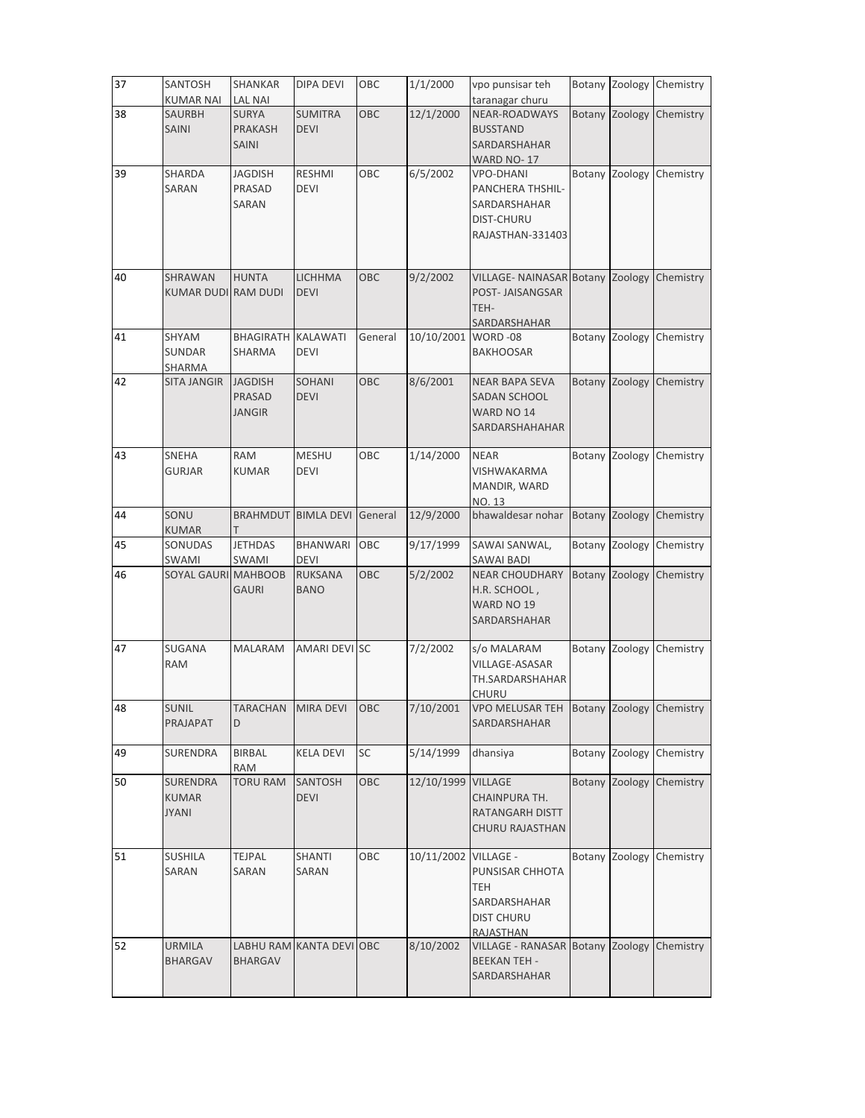| 37 | SANTOSH<br><b>KUMAR NAI</b>              | SHANKAR<br><b>LAL NAI</b>                      | DIPA DEVI                     | OBC        | 1/1/2000   | vpo punsisar teh<br>taranagar churu                                                          |        |                | Botany Zoology Chemistry |
|----|------------------------------------------|------------------------------------------------|-------------------------------|------------|------------|----------------------------------------------------------------------------------------------|--------|----------------|--------------------------|
| 38 | SAURBH<br>SAINI                          | <b>SURYA</b><br><b>PRAKASH</b><br><b>SAINI</b> | <b>SUMITRA</b><br><b>DEVI</b> | <b>OBC</b> | 12/1/2000  | NEAR-ROADWAYS<br><b>BUSSTAND</b><br>SARDARSHAHAR<br>WARD NO-17                               |        | Botany Zoology | Chemistry                |
| 39 | SHARDA<br>SARAN                          | <b>JAGDISH</b><br>PRASAD<br>SARAN              | <b>RESHMI</b><br><b>DEVI</b>  | OBC        | 6/5/2002   | <b>VPO-DHANI</b><br>PANCHERA THSHIL-<br>SARDARSHAHAR<br>DIST-CHURU<br>RAJASTHAN-331403       |        |                | Botany Zoology Chemistry |
| 40 | SHRAWAN<br><b>KUMAR DUDI RAM DUDI</b>    | <b>HUNTA</b>                                   | <b>LICHHMA</b><br><b>DEVI</b> | OBC        | 9/2/2002   | VILLAGE- NAINASAR Botany Zoology<br>POST- JAISANGSAR<br>TEH-<br>SARDARSHAHAR                 |        |                | Chemistry                |
| 41 | SHYAM<br>SUNDAR<br>SHARMA                | <b>BHAGIRATH</b><br>SHARMA                     | KALAWATI<br>DEVI              | General    | 10/10/2001 | WORD-08<br><b>BAKHOOSAR</b>                                                                  |        | Botany Zoology | Chemistry                |
| 42 | <b>SITA JANGIR</b>                       | <b>JAGDISH</b><br>PRASAD<br><b>JANGIR</b>      | <b>SOHANI</b><br><b>DEVI</b>  | OBC        | 8/6/2001   | <b>NEAR BAPA SEVA</b><br>SADAN SCHOOL<br>WARD NO 14<br>SARDARSHAHAHAR                        |        | Botany Zoology | Chemistry                |
| 43 | SNEHA<br>GURJAR                          | <b>RAM</b><br><b>KUMAR</b>                     | <b>MESHU</b><br>DEVI          | OBC        | 1/14/2000  | <b>NEAR</b><br>VISHWAKARMA<br>MANDIR, WARD<br><b>NO. 13</b>                                  |        | Botany Zoology | Chemistry                |
| 44 | SONU<br><b>KUMAR</b>                     | <b>BRAHMDUT</b><br>т                           | <b>BIMLA DEVI</b>             | General    | 12/9/2000  | bhawaldesar nohar                                                                            |        | Botany Zoology | Chemistry                |
| 45 | SONUDAS<br>SWAMI                         | <b>JETHDAS</b><br>SWAMI                        | BHANWARI<br><b>DEVI</b>       | OBC        | 9/17/1999  | SAWAI SANWAL,<br><b>SAWAI BADI</b>                                                           |        | Botany Zoology | Chemistry                |
| 46 | <b>SOYAL GAURI MAHBOOB</b>               | GAURI                                          | <b>RUKSANA</b><br><b>BANO</b> | OBC        | 5/2/2002   | <b>NEAR CHOUDHARY</b><br>H.R. SCHOOL,<br>WARD NO 19<br>SARDARSHAHAR                          | Botany | Zoology        | Chemistry                |
| 47 | SUGANA<br><b>RAM</b>                     | MALARAM                                        | AMARI DEVI SC                 |            | 7/2/2002   | s/o MALARAM<br>VILLAGE-ASASAR<br>TH.SARDARSHAHAR<br><b>CHURU</b>                             |        | Botany Zoology | Chemistry                |
| 48 | SUNIL<br>PRAJAPAT                        | D                                              | TARACHAN MIRA DEVI OBC        |            | 7/10/2001  | VPO MELUSAR TEH Botany Zoology Chemistry<br>SARDARSHAHAR                                     |        |                |                          |
| 49 | SURENDRA                                 | <b>BIRBAL</b><br>RAM                           | <b>KELA DEVI</b>              | SC         | 5/14/1999  | dhansiya                                                                                     |        | Botany Zoology | Chemistry                |
| 50 | SURENDRA<br><b>KUMAR</b><br><b>JYANI</b> | <b>TORU RAM</b>                                | SANTOSH<br><b>DEVI</b>        | OBC        | 12/10/1999 | <b>VILLAGE</b><br>CHAINPURA TH.<br>RATANGARH DISTT<br>CHURU RAJASTHAN                        | Botany | Zoology        | Chemistry                |
| 51 | <b>SUSHILA</b><br>SARAN                  | TEJPAL<br>SARAN                                | <b>SHANTI</b><br>SARAN        | OBC        | 10/11/2002 | <b>VILLAGE -</b><br>PUNSISAR CHHOTA<br>TEH<br>SARDARSHAHAR<br><b>DIST CHURU</b><br>RAJASTHAN |        | Botany Zoology | Chemistry                |
| 52 | <b>URMILA</b><br><b>BHARGAV</b>          | <b>BHARGAV</b>                                 | LABHU RAM KANTA DEVI OBC      |            | 8/10/2002  | VILLAGE - RANASAR Botany Zoology<br><b>BEEKAN TEH -</b><br>SARDARSHAHAR                      |        |                | Chemistry                |